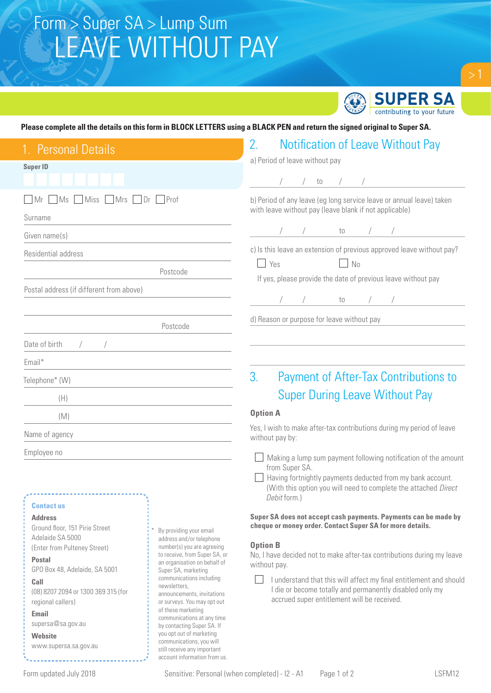# LEAVE WITHOUT PAY Form > Super SA > Lump Sum



> 1

**Please complete all the details on this form in BLOCK LETTERS using a BLACK PEN and return the signed original to Super SA.** 

| 1. Personal Details                                                                                       | <b>Notification of Leave Without Pay</b><br>2.<br>a) Period of leave without pay                                               |
|-----------------------------------------------------------------------------------------------------------|--------------------------------------------------------------------------------------------------------------------------------|
| <b>Super ID</b>                                                                                           |                                                                                                                                |
|                                                                                                           | to                                                                                                                             |
| Miss Mrs Dr Prof<br>MS<br>Mr                                                                              | b) Period of any leave (eg long service leave or annual leave) taken<br>with leave without pay (leave blank if not applicable) |
| Surname                                                                                                   |                                                                                                                                |
| Given name(s)                                                                                             | $\frac{1}{2}$ / to / /                                                                                                         |
| Residential address                                                                                       | c) Is this leave an extension of previous approved leave without pay?                                                          |
| Postcode                                                                                                  | $\Box$ No<br>$\Box$ Yes                                                                                                        |
| Postal address (if different from above)                                                                  | If yes, please provide the date of previous leave without pay                                                                  |
|                                                                                                           | $\begin{array}{ccccccccccccc} \end{array}$ / $\begin{array}{ccccccccccccc} \end{array}$ / $\end{array}$                        |
| Postcode                                                                                                  | d) Reason or purpose for leave without pay                                                                                     |
|                                                                                                           |                                                                                                                                |
| Date of birth<br>$\sqrt{2}$                                                                               |                                                                                                                                |
| Email*                                                                                                    |                                                                                                                                |
| Telephone* (W)                                                                                            | 3.<br>Payment of After-Tax Contributions to                                                                                    |
| (H)                                                                                                       | <b>Super During Leave Without Pay</b>                                                                                          |
| (M)                                                                                                       | <b>Option A</b>                                                                                                                |
| Name of agency                                                                                            | Yes, I wish to make after-tax contributions during my period of leave<br>without pay by:                                       |
| Employee no                                                                                               | Making a lump sum payment following notification of the amount                                                                 |
|                                                                                                           | from Super SA.                                                                                                                 |
|                                                                                                           | Having fortnightly payments deducted from my bank account.<br>(With this option you will need to complete the attached Direct  |
| <b>Contact us</b>                                                                                         | Debit form.)                                                                                                                   |
| <b>Address</b>                                                                                            | Super SA does not accept cash payments. Payments can be made by                                                                |
| Ground floor, 151 Pirie Street<br>By providing your email<br>Adelaide SA 5000<br>address and/or telephone | cheque or money order. Contact Super SA for more details.                                                                      |
| number(s) you are agreeing<br>(Enter from Pulteney Street)                                                | <b>Option B</b>                                                                                                                |
| to receive, from Super SA, or<br><b>Postal</b><br>an organisation on behalf of                            | No, I have decided not to make after-tax contributions during my leave<br>without pay.                                         |
| GPO Box 48, Adelaide, SA 5001<br>Super SA, marketing<br>communications including<br>Call                  | I understand that this will affect my final entitlement and should                                                             |
| newsletters,<br>(08) 8207 2094 or 1300 369 315 (for<br>announcements, invitations                         | I die or become totally and permanently disabled only my                                                                       |
| regional callers)<br>or surveys. You may opt out<br>of these marketing                                    | accrued super entitlement will be received.                                                                                    |
| Email<br>communications at any time<br>supersa@sa.gov.au<br>by contacting Super SA. If                    |                                                                                                                                |

**Website** www.supersa.sa.gov.au

Form updated July 2018 Sensitive: Personal (when completed) - I2 - A1 Page 1 of 2

you opt out of marketing communications, you will still receive any important account information from us.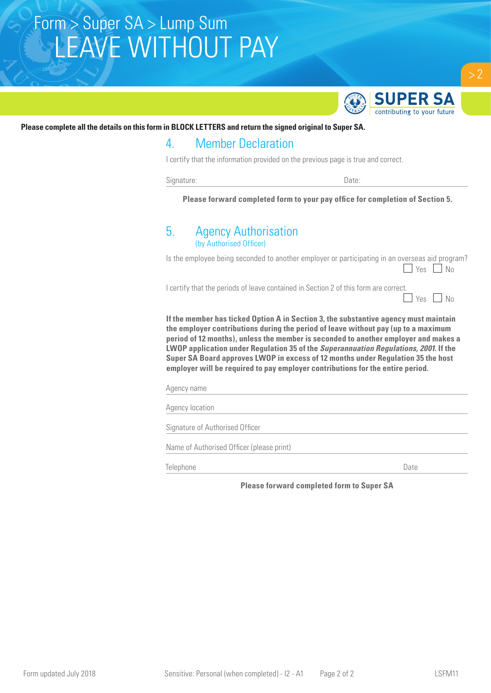## LEAVE WITHOUT PAY Form > Super SA > Lump Sum



## **Please complete all the details on this form in BLOCK LETTERS and return the signed original to Super SA.**

## 4. Member Declaration

I certify that the information provided on the previous page is true and correct.

Signature: Date:

**Please forward completed form to your pay office for completion of Section 5.**

### 5. Agency Authorisation (by Authorised Officer)

Is the employee being seconded to another employer or participating in an overseas aid program?  $\Box$  Yes  $\Box$  No I certify that the periods of leave contained in Section 2 of this form are correct.  $\Box$  Yes  $\Box$  No

**If the member has ticked Option A in Section 3, the substantive agency must maintain the employer contributions during the period of leave without pay (up to a maximum period of 12 months), unless the member is seconded to another employer and makes a LWOP application under Regulation 35 of the** *Superannuation Regulations, 2001***. If the Super SA Board approves LWOP in excess of 12 months under Regulation 35 the host employer will be required to pay employer contributions for the entire period.**

Agency name

Agency location

Signature of Authorised Officer

Name of Authorised Officer (please print)

Telephone Date

**Please forward completed form to Super SA**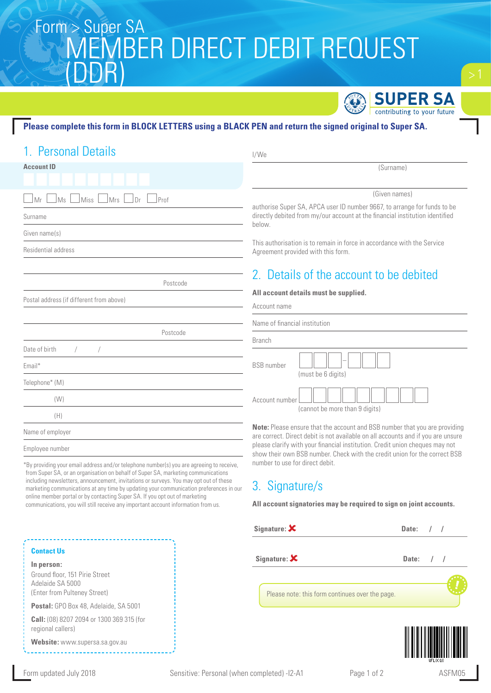## MEMBER DIRECT DEBIT (DDR) Form > Super SA Form > Super SA MEMBER DIRECT DEBIT REQUEST (DDR)



## **Please complete this form in BLOCK LETTERS using a BLACK PEN and return the signed original to Super SA.**

| 1. Personal Details                                                                                                                                                                                                                                                                                                                                             | I/We                                                                                                                                                                                                           |
|-----------------------------------------------------------------------------------------------------------------------------------------------------------------------------------------------------------------------------------------------------------------------------------------------------------------------------------------------------------------|----------------------------------------------------------------------------------------------------------------------------------------------------------------------------------------------------------------|
| <b>Account ID</b>                                                                                                                                                                                                                                                                                                                                               | (Surname)                                                                                                                                                                                                      |
| $\Box$ Ms<br>$\bigcup$ Miss<br><b>Mrs</b><br>$\ln$<br>Prof<br>Mr                                                                                                                                                                                                                                                                                                | (Given names)                                                                                                                                                                                                  |
| Surname                                                                                                                                                                                                                                                                                                                                                         | authorise Super SA, APCA user ID number 9667, to arrange for funds to be<br>directly debited from my/our account at the financial institution identified<br>below.                                             |
| Given name(s)                                                                                                                                                                                                                                                                                                                                                   | This authorisation is to remain in force in accordance with the Service                                                                                                                                        |
| Residential address                                                                                                                                                                                                                                                                                                                                             | Agreement provided with this form.                                                                                                                                                                             |
| Postcode                                                                                                                                                                                                                                                                                                                                                        | 2. Details of the account to be debited                                                                                                                                                                        |
| Postal address (if different from above)                                                                                                                                                                                                                                                                                                                        | All account details must be supplied.<br>Account name                                                                                                                                                          |
|                                                                                                                                                                                                                                                                                                                                                                 | Name of financial institution                                                                                                                                                                                  |
| Postcode                                                                                                                                                                                                                                                                                                                                                        | <b>Branch</b>                                                                                                                                                                                                  |
| Date of birth<br>$\sqrt{2}$                                                                                                                                                                                                                                                                                                                                     |                                                                                                                                                                                                                |
| Email*                                                                                                                                                                                                                                                                                                                                                          | <b>BSB</b> number                                                                                                                                                                                              |
| Telephone* (M)                                                                                                                                                                                                                                                                                                                                                  | (must be 6 digits)                                                                                                                                                                                             |
| (W)                                                                                                                                                                                                                                                                                                                                                             | Account number                                                                                                                                                                                                 |
| (H)                                                                                                                                                                                                                                                                                                                                                             | (cannot be more than 9 digits)                                                                                                                                                                                 |
| Name of employer                                                                                                                                                                                                                                                                                                                                                | Note: Please ensure that the account and BSB number that you are providing<br>are correct. Direct debit is not available on all accounts and if you are unsure                                                 |
| Employee number                                                                                                                                                                                                                                                                                                                                                 | please clarify with your financial institution. Credit union cheques may not<br>show their own BSB number. Check with the credit union for the correct BSB<br>number to use for direct debit.<br>3 Signature/s |
| *By providing your email address and/or telephone number(s) you are agreeing to receive,<br>from Super SA, or an organisation on behalf of Super SA, marketing communications<br>including newsletters, announcement, invitations or surveys. You may opt out of these<br>markating agmmunications of onutime buyundating your communication proferences in our |                                                                                                                                                                                                                |

marketing communications at any time by updating your communication preferences in our online member portal or by contacting Super SA. If you opt out of marketing communications, you will still receive any important account information from us.

#### **Contact Us**

**In person:** Ground floor, 151 Pirie Street Adelaide SA 5000 (Enter from Pulteney Street)

**Postal:** GPO Box 48, Adelaide, SA 5001

**Call:** (08) 8207 2094 or 1300 369 315 (for regional callers)

**Website:** www.supersa.sa.gov.au

## 3. Signature/s **All account signatories may be required to sign on joint accounts.**

Signature:  $\mathsf{\mathsf{X}}$  **Date:** / / Signature:  $\mathsf{\mathsf{X}}$  **Date:** / / Please note: this form continues over the page.



Form updated July 2018 **Sensitive: Personal (when completed)** -I2-A1 Page 1 of 2 ASFM05